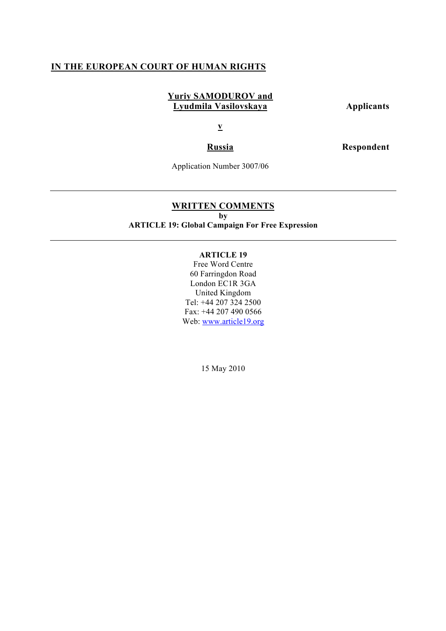# **IN THE EUROPEAN COURT OF HUMAN RIGHTS**

# **Yuriy SAMODUROV and Lyudmila Vasilovskaya Applicants**

**v**

**Russia Respondent**

Application Number 3007/06

# **WRITTEN COMMENTS**

**by**

# **ARTICLE 19: Global Campaign For Free Expression**

# **ARTICLE 19**

Free Word Centre 60 Farringdon Road London EC1R 3GA United Kingdom Tel: +44 207 324 2500 Fax: +44 207 490 0566 Web: www.article19.org

15 May 2010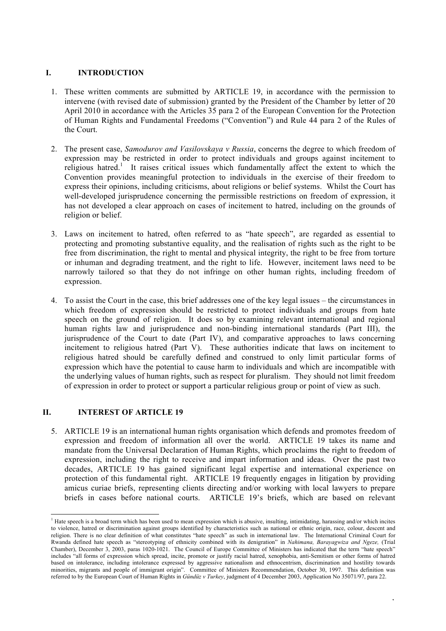# **I. INTRODUCTION**

- 1. These written comments are submitted by ARTICLE 19, in accordance with the permission to intervene (with revised date of submission) granted by the President of the Chamber by letter of 20 April 2010 in accordance with the Articles 35 para 2 of the European Convention for the Protection of Human Rights and Fundamental Freedoms ("Convention") and Rule 44 para 2 of the Rules of the Court.
- 2. The present case, *Samodurov and Vasilovskaya v Russia*, concerns the degree to which freedom of expression may be restricted in order to protect individuals and groups against incitement to religious hatred.<sup>1</sup> It raises critical issues which fundamentally affect the extent to which the Convention provides meaningful protection to individuals in the exercise of their freedom to express their opinions, including criticisms, about religions or belief systems. Whilst the Court has well-developed jurisprudence concerning the permissible restrictions on freedom of expression, it has not developed a clear approach on cases of incitement to hatred, including on the grounds of religion or belief.
- 3. Laws on incitement to hatred, often referred to as "hate speech", are regarded as essential to protecting and promoting substantive equality, and the realisation of rights such as the right to be free from discrimination, the right to mental and physical integrity, the right to be free from torture or inhuman and degrading treatment, and the right to life. However, incitement laws need to be narrowly tailored so that they do not infringe on other human rights, including freedom of expression.
- 4. To assist the Court in the case, this brief addresses one of the key legal issues the circumstances in which freedom of expression should be restricted to protect individuals and groups from hate speech on the ground of religion. It does so by examining relevant international and regional human rights law and jurisprudence and non-binding international standards (Part III), the jurisprudence of the Court to date (Part IV), and comparative approaches to laws concerning incitement to religious hatred (Part V). These authorities indicate that laws on incitement to religious hatred should be carefully defined and construed to only limit particular forms of expression which have the potential to cause harm to individuals and which are incompatible with the underlying values of human rights, such as respect for pluralism. They should not limit freedom of expression in order to protect or support a particular religious group or point of view as such.

#### **II. INTEREST OF ARTICLE 19**

5. ARTICLE 19 is an international human rights organisation which defends and promotes freedom of expression and freedom of information all over the world. ARTICLE 19 takes its name and mandate from the Universal Declaration of Human Rights, which proclaims the right to freedom of expression, including the right to receive and impart information and ideas. Over the past two decades, ARTICLE 19 has gained significant legal expertise and international experience on protection of this fundamental right. ARTICLE 19 frequently engages in litigation by providing amicus curiae briefs, representing clients directing and/or working with local lawyers to prepare briefs in cases before national courts. ARTICLE 19's briefs, which are based on relevant

 $\frac{1}{1}$  $<sup>1</sup>$  Hate speech is a broad term which has been used to mean expression which is abusive, insulting, intimidating, harassing and/or which incites</sup> to violence, hatred or discrimination against groups identified by characteristics such as national or ethnic origin, race, colour, descent and religion. There is no clear definition of what constitutes "hate speech" as such in international law. The International Criminal Court for Rwanda defined hate speech as "stereotyping of ethnicity combined with its denigration" in *Nahimana, Barayagwiza and Ngeze,* (Trial Chamber), December 3, 2003, paras 1020-1021. The Council of Europe Committee of Ministers has indicated that the term "hate speech" includes "all forms of expression which spread, incite, promote or justify racial hatred, xenophobia, anti-Semitism or other forms of hatred based on intolerance, including intolerance expressed by aggressive nationalism and ethnocentrism, discrimination and hostility towards minorities, migrants and people of immigrant origin". Committee of Ministers Recommendation, October 30, 1997. This definition was referred to by the European Court of Human Rights in *Gündüz v Turkey*, judgment of 4 December 2003, Application No 35071/97, para 22.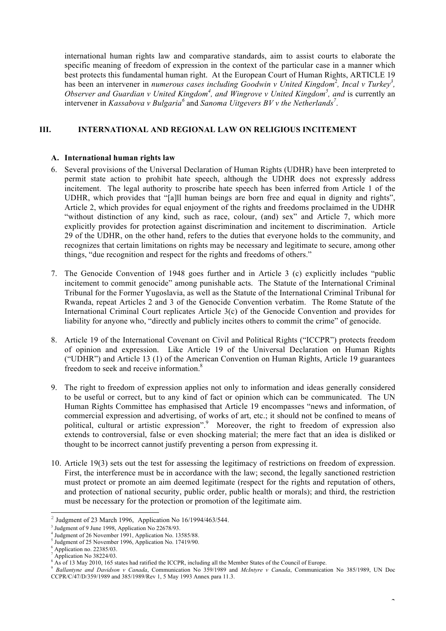international human rights law and comparative standards, aim to assist courts to elaborate the specific meaning of freedom of expression in the context of the particular case in a manner which best protects this fundamental human right. At the European Court of Human Rights, ARTICLE 19 has been an intervener in *numerous cases including Goodwin v United Kingdom<sup>2</sup>, Incal v Turkey<sup>3</sup>,* Observer and Guardian v United Kingdom<sup>4</sup>, and Wingrove v United Kingdom<sup>5</sup>, and is currently an intervener in *Kassabova v Bulgaria*<sup>6</sup> and *Sanoma Uitgevers BV v the Netherlands*<sup>7</sup>.

# **III. INTERNATIONAL AND REGIONAL LAW ON RELIGIOUS INCITEMENT**

#### **A. International human rights law**

- 6. Several provisions of the Universal Declaration of Human Rights (UDHR) have been interpreted to permit state action to prohibit hate speech, although the UDHR does not expressly address incitement. The legal authority to proscribe hate speech has been inferred from Article 1 of the UDHR, which provides that "[a]ll human beings are born free and equal in dignity and rights", Article 2, which provides for equal enjoyment of the rights and freedoms proclaimed in the UDHR "without distinction of any kind, such as race, colour, (and) sex" and Article 7, which more explicitly provides for protection against discrimination and incitement to discrimination. Article 29 of the UDHR, on the other hand, refers to the duties that everyone holds to the community, and recognizes that certain limitations on rights may be necessary and legitimate to secure, among other things, "due recognition and respect for the rights and freedoms of others."
- 7. The Genocide Convention of 1948 goes further and in Article 3 (c) explicitly includes "public incitement to commit genocide" among punishable acts. The Statute of the International Criminal Tribunal for the Former Yugoslavia, as well as the Statute of the International Criminal Tribunal for Rwanda, repeat Articles 2 and 3 of the Genocide Convention verbatim. The Rome Statute of the International Criminal Court replicates Article 3(c) of the Genocide Convention and provides for liability for anyone who, "directly and publicly incites others to commit the crime" of genocide.
- 8. Article 19 of the International Covenant on Civil and Political Rights ("ICCPR") protects freedom of opinion and expression. Like Article 19 of the Universal Declaration on Human Rights ("UDHR") and Article 13 (1) of the American Convention on Human Rights, Article 19 guarantees freedom to seek and receive information.<sup>8</sup>
- 9. The right to freedom of expression applies not only to information and ideas generally considered to be useful or correct, but to any kind of fact or opinion which can be communicated. The UN Human Rights Committee has emphasised that Article 19 encompasses "news and information, of commercial expression and advertising, of works of art, etc.; it should not be confined to means of political, cultural or artistic expression".<sup>9</sup> Moreover, the right to freedom of expression also extends to controversial, false or even shocking material; the mere fact that an idea is disliked or thought to be incorrect cannot justify preventing a person from expressing it.
- 10. Article 19(3) sets out the test for assessing the legitimacy of restrictions on freedom of expression. First, the interference must be in accordance with the law; second, the legally sanctioned restriction must protect or promote an aim deemed legitimate (respect for the rights and reputation of others, and protection of national security, public order, public health or morals); and third, the restriction must be necessary for the protection or promotion of the legitimate aim.

2 Judgment of 23 March 1996, Application No 16/1994/463/544.

 $3$  Judgment of 9 June 1998, Application No 22678/93.

<sup>4</sup> Judgment of 26 November 1991, Application No. 13585/88.

 $5$  Judgment of 25 November 1996, Application No. 17419/90.

 $<sup>6</sup>$  Application no. 22385/03.</sup>

<sup>7</sup> Application No 38224/03.

<sup>8</sup> As of 13 May 2010, 165 states had ratified the ICCPR, including all the Member States of the Council of Europe.

<sup>9</sup> *Ballantyne and Davidson v Canada*, Communication No 359/1989 and *McIntyre v Canada*, Communication No 385/1989, UN Doc CCPR/C/47/D/359/1989 and 385/1989/Rev 1, 5 May 1993 Annex para 11.3.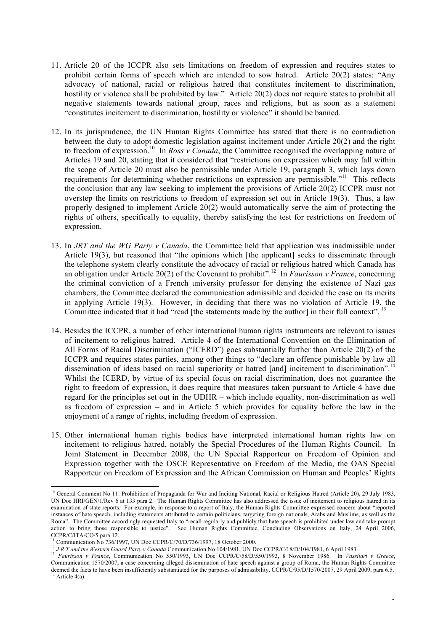- 11. Article 20 of the ICCPR also sets limitations on freedom of expression and requires states to prohibit certain forms of speech which are intended to sow hatred. Article 20(2) states: "Any advocacy of national, racial or religious hatred that constitutes incitement to discrimination, hostility or violence shall be prohibited by law." Article 20(2) does not require states to prohibit all negative statements towards national group, races and religions, but as soon as a statement "constitutes incitement to discrimination, hostility or violence" it should be banned.
- 12. In its jurisprudence, the UN Human Rights Committee has stated that there is no contradiction between the duty to adopt domestic legislation against incitement under Article 20(2) and the right to freedom of expression.10 In *Ross v Canada*, the Committee recognised the overlapping nature of Articles 19 and 20, stating that it considered that "restrictions on expression which may fall within the scope of Article 20 must also be permissible under Article 19, paragraph 3, which lays down requirements for determining whether restrictions on expression are permissible."<sup>11</sup> This reflects the conclusion that any law seeking to implement the provisions of Article 20(2) ICCPR must not overstep the limits on restrictions to freedom of expression set out in Article 19(3). Thus, a law properly designed to implement Article 20(2) would automatically serve the aim of protecting the rights of others, specifically to equality, thereby satisfying the test for restrictions on freedom of expression.
- 13. In *JRT and the WG Party v Canada*, the Committee held that application was inadmissible under Article 19(3), but reasoned that "the opinions which [the applicant] seeks to disseminate through the telephone system clearly constitute the advocacy of racial or religious hatred which Canada has an obligation under Article 20(2) of the Covenant to prohibit".12 In *Faurisson v France*, concerning the criminal conviction of a French university professor for denying the existence of Nazi gas chambers, the Committee declared the communication admissible and decided the case on its merits in applying Article 19(3). However, in deciding that there was no violation of Article 19, the Committee indicated that it had "read [the statements made by the author] in their full context". <sup>13</sup>
- 14. Besides the ICCPR, a number of other international human rights instruments are relevant to issues of incitement to religious hatred. Article 4 of the International Convention on the Elimination of All Forms of Racial Discrimination ("ICERD") goes substantially further than Article 20(2) of the ICCPR and requires states parties, among other things to "declare an offence punishable by law all dissemination of ideas based on racial superiority or hatred [and] incitement to discrimination".<sup>14</sup> Whilst the ICERD, by virtue of its special focus on racial discrimination, does not guarantee the right to freedom of expression, it does require that measures taken pursuant to Article 4 have due regard for the principles set out in the UDHR – which include equality, non-discrimination as well as freedom of expression – and in Article 5 which provides for equality before the law in the enjoyment of a range of rights, including freedom of expression.
- 15. Other international human rights bodies have interpreted international human rights law on incitement to religious hatred, notably the Special Procedures of the Human Rights Council. In Joint Statement in December 2008, the UN Special Rapporteur on Freedom of Opinion and Expression together with the OSCE Representative on Freedom of the Media, the OAS Special Rapporteur on Freedom of Expression and the African Commission on Human and Peoples' Rights

<sup>&</sup>lt;sup>10</sup> General Comment No 11: Prohibition of Propaganda for War and Inciting National, Racial or Religious Hatred (Article 20), 29 July 1983, UN Doc HRI/GEN/1/Rev 6 at 133 para 2. The Human Rights Committee has also addressed the issue of incitement to religious hatred in its examination of state reports. For example, in response to a report of Italy, the Human Rights Committee expressed concern about "reported instances of hate speech, including statements attributed to certain politicians, targeting foreign nationals, Arabs and Muslims, as well as the Roma". The Committee accordingly requested Italy to "recall regularly and publicly that hate speech is prohibited under law and take prompt action to bring those responsible to justice". See Human Rights Committee, Concluding Observations on Italy, 24 April 2006, CCPR/C/ITA/CO/5 para 12.

Communication No 736/1997, UN Doc CCPR/C/70/D/736/1997, 18 October 2000.

<sup>&</sup>lt;sup>12</sup> *JR T and the Western Guard Party v Canada* Communication No 104/1981, UN Doc CCPR/C/18/D/104/1981, 6 April 1983.

<sup>13</sup> *Faurisson v France*, Communication No 550/1993, UN Doc CCPR/C/58/D/550/1993, 8 November 1986. In *Vassilari v Greece*, Communication 1570/2007, a case concerning alleged dissemination of hate speech against a group of Roma, the Human Rights Committee deemed the facts to have been insufficiently substantiated for the purposes of admissibility. CCPR/C/95/D/1570/2007, 29 April 2009, para 6.5. <sup>14</sup> Article 4(a).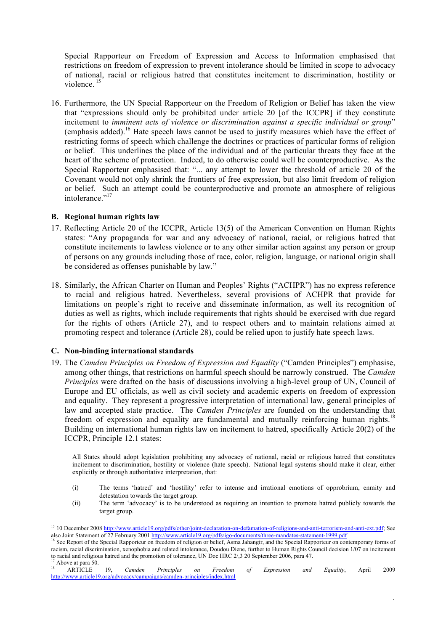Special Rapporteur on Freedom of Expression and Access to Information emphasised that restrictions on freedom of expression to prevent intolerance should be limited in scope to advocacy of national, racial or religious hatred that constitutes incitement to discrimination, hostility or violence.<sup>15</sup>

16. Furthermore, the UN Special Rapporteur on the Freedom of Religion or Belief has taken the view that "expressions should only be prohibited under article 20 [of the ICCPR] if they constitute incitement to *imminent acts of violence or discrimination against a specific individual or group*" (emphasis added).<sup>16</sup> Hate speech laws cannot be used to justify measures which have the effect of restricting forms of speech which challenge the doctrines or practices of particular forms of religion or belief. This underlines the place of the individual and of the particular threats they face at the heart of the scheme of protection. Indeed, to do otherwise could well be counterproductive. As the Special Rapporteur emphasised that: "... any attempt to lower the threshold of article 20 of the Covenant would not only shrink the frontiers of free expression, but also limit freedom of religion or belief. Such an attempt could be counterproductive and promote an atmosphere of religious intolerance."<sup>17</sup>

#### **B. Regional human rights law**

- 17. Reflecting Article 20 of the ICCPR, Article 13(5) of the American Convention on Human Rights states: "Any propaganda for war and any advocacy of national, racial, or religious hatred that constitute incitements to lawless violence or to any other similar action against any person or group of persons on any grounds including those of race, color, religion, language, or national origin shall be considered as offenses punishable by law."
- 18. Similarly, the African Charter on Human and Peoples' Rights ("ACHPR") has no express reference to racial and religious hatred. Nevertheless, several provisions of ACHPR that provide for limitations on people's right to receive and disseminate information, as well its recognition of duties as well as rights, which include requirements that rights should be exercised with due regard for the rights of others (Article 27), and to respect others and to maintain relations aimed at promoting respect and tolerance (Article 28), could be relied upon to justify hate speech laws.

#### **C. Non-binding international standards**

19. The *Camden Principles on Freedom of Expression and Equality* ("Camden Principles") emphasise, among other things, that restrictions on harmful speech should be narrowly construed. The *Camden Principles* were drafted on the basis of discussions involving a high-level group of UN, Council of Europe and EU officials, as well as civil society and academic experts on freedom of expression and equality. They represent a progressive interpretation of international law, general principles of law and accepted state practice. The *Camden Principles* are founded on the understanding that freedom of expression and equality are fundamental and mutually reinforcing human rights.<sup>18</sup> Building on international human rights law on incitement to hatred, specifically Article 20(2) of the ICCPR, Principle 12.1 states:

All States should adopt legislation prohibiting any advocacy of national, racial or religious hatred that constitutes incitement to discrimination, hostility or violence (hate speech). National legal systems should make it clear, either explicitly or through authoritative interpretation, that:

- (i) The terms 'hatred' and 'hostility' refer to intense and irrational emotions of opprobrium, enmity and detestation towards the target group.
- (ii) The term 'advocacy' is to be understood as requiring an intention to promote hatred publicly towards the target group.

 $\overline{a}$ 

<sup>&</sup>lt;sup>15</sup> 10 December 2008 http://www.article19.org/pdfs/other/joint-declaration-on-defamation-of-religions-and-anti-terrorism-and-anti-ext.pdf; See also Joint Statement of 27 February 2001 http://www.article19.org/pdfs/igo-documents/three-mandates-statement-1999.pdf

<sup>&</sup>lt;sup>16</sup> See Report of the Special Rapporteur on freedom of religion or belief, Asma Jahangir, and the Special Rapporteur on contemporary forms of racism, racial discrimination, xenophobia and related intolerance, Doudou Diene, further to Human Rights Council decision 1/07 on incitement to racial and religious hatred and the promotion of tolerance, UN Doc HRC 2/,3 20 September 2006, para 47.

 $^{17}$  Above at para 50. 18 ARTICLE 19, *Camden Principles on Freedom of Expression and Equality*, April 2009 http://www.article19.org/advocacy/campaigns/camden-principles/index.html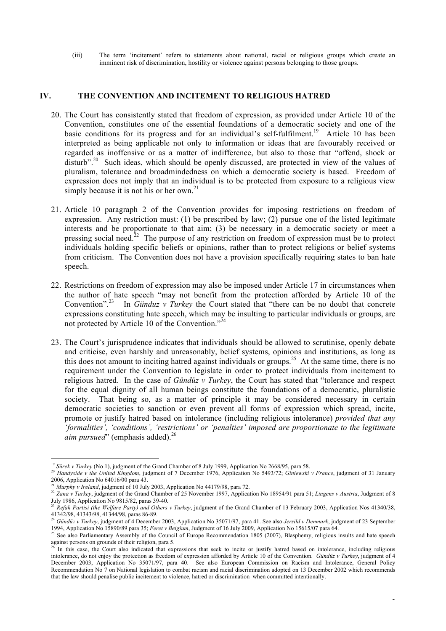(iii) The term 'incitement' refers to statements about national, racial or religious groups which create an imminent risk of discrimination, hostility or violence against persons belonging to those groups.

#### **IV. THE CONVENTION AND INCITEMENT TO RELIGIOUS HATRED**

- 20. The Court has consistently stated that freedom of expression, as provided under Article 10 of the Convention, constitutes one of the essential foundations of a democratic society and one of the basic conditions for its progress and for an individual's self-fulfilment.<sup>19</sup> Article 10 has been interpreted as being applicable not only to information or ideas that are favourably received or regarded as inoffensive or as a matter of indifference, but also to those that "offend, shock or disturb".<sup>20</sup> Such ideas, which should be openly discussed, are protected in view of the values of pluralism, tolerance and broadmindedness on which a democratic society is based. Freedom of expression does not imply that an individual is to be protected from exposure to a religious view simply because it is not his or her own.<sup>21</sup>
- 21. Article 10 paragraph 2 of the Convention provides for imposing restrictions on freedom of expression. Any restriction must: (1) be prescribed by law; (2) pursue one of the listed legitimate interests and be proportionate to that aim; (3) be necessary in a democratic society or meet a pressing social need.<sup>22</sup> The purpose of any restriction on freedom of expression must be to protect individuals holding specific beliefs or opinions, rather than to protect religions or belief systems from criticism. The Convention does not have a provision specifically requiring states to ban hate speech.
- 22. Restrictions on freedom of expression may also be imposed under Article 17 in circumstances when the author of hate speech "may not benefit from the protection afforded by Article 10 of the Convention".23 In *Günduz v Turkey* the Court stated that "there can be no doubt that concrete expressions constituting hate speech, which may be insulting to particular individuals or groups, are not protected by Article 10 of the Convention."<sup>24</sup>
- 23. The Court's jurisprudence indicates that individuals should be allowed to scrutinise, openly debate and criticise, even harshly and unreasonably, belief systems, opinions and institutions, as long as this does not amount to inciting hatred against individuals or groups.<sup>25</sup> At the same time, there is no requirement under the Convention to legislate in order to protect individuals from incitement to religious hatred. In the case of *Gündüz v Turkey*, the Court has stated that "tolerance and respect for the equal dignity of all human beings constitute the foundations of a democratic, pluralistic society. That being so, as a matter of principle it may be considered necessary in certain democratic societies to sanction or even prevent all forms of expression which spread, incite, promote or justify hatred based on intolerance (including religious intolerance) *provided that any 'formalities', 'conditions', 'restrictions' or 'penalties' imposed are proportionate to the legitimate aim pursued*" (emphasis added).<sup>26</sup>

<sup>&</sup>lt;sup>19</sup> Sürek v Turkey (No 1), judgment of the Grand Chamber of 8 July 1999, Application No 2668/95, para 58.

<sup>20</sup> *Handyside v the United Kingdom*, judgment of 7 December 1976, Application No 5493/72; *Giniewski v France*, judgment of 31 January

<sup>&</sup>lt;sup>21</sup> *Murphy v Ireland*, judgment of 10 July 2003, Application No 44179/98, para 72.

<sup>&</sup>lt;sup>22</sup> Zana v Turkey, judgment of the Grand Chamber of 25 November 1997, Application No 18954/91 para 51; *Lingens v Austria*, Judgment of 8 July 1986, Application No 9815/82, paras 39-40.<br>
<sup>23</sup> Barcel: P.

<sup>23</sup> *Refah Partisi (the Welfare Party) and Others v Turkey*, judgment of the Grand Chamber of 13 February 2003, Application Nos 41340/38, 41342/98, 41343/98, 41344/98, paras 86-89.

<sup>24</sup> *Gündüz v Turkey*, judgment of 4 December 2003, Application No 35071/97, para 41. See also *Jersild v Denmark*, judgment of 23 September 1994, Application No 15890/89 para 35; *Feret v Belgium*, Judgment of 16 July 2009, Application No 15615/07 para 64.

<sup>&</sup>lt;sup>25</sup> See also Parliamentary Assembly of the Council of Europe Recommendation 1805 (2007), Blasphemy, religious insults and hate speech against persons on grounds of their religion, para 5.

In this case, the Court also indicated that expressions that seek to incite or justify hatred based on intolerance, including religious intolerance, do not enjoy the protection as freedom of expression afforded by Article 10 of the Convention. *Gündüz v Turkey*, judgment of 4 December 2003, Application No 35071/97, para 40. See also European Commission on Racism and Intolerance, General Policy Recommendation No 7 on National legislation to combat racism and racial discrimination adopted on 13 December 2002 which recommends that the law should penalise public incitement to violence, hatred or discrimination when committed intentionally.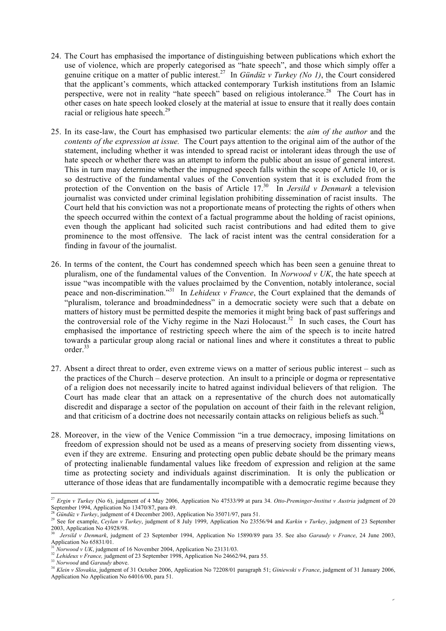- 24. The Court has emphasised the importance of distinguishing between publications which exhort the use of violence, which are properly categorised as "hate speech", and those which simply offer a genuine critique on a matter of public interest.27 In *Gündüz v Turkey (No 1)*, the Court considered that the applicant's comments, which attacked contemporary Turkish institutions from an Islamic perspective, were not in reality "hate speech" based on religious intolerance.<sup>28</sup> The Court has in other cases on hate speech looked closely at the material at issue to ensure that it really does contain racial or religious hate speech.<sup>29</sup>
- 25. In its case-law, the Court has emphasised two particular elements: the *aim of the author* and the *contents of the expression at issue.* The Court pays attention to the original aim of the author of the statement, including whether it was intended to spread racist or intolerant ideas through the use of hate speech or whether there was an attempt to inform the public about an issue of general interest. This in turn may determine whether the impugned speech falls within the scope of Article 10, or is so destructive of the fundamental values of the Convention system that it is excluded from the protection of the Convention on the basis of Article 17.<sup>30</sup> In *Jersild v Denmark* a television journalist was convicted under criminal legislation prohibiting dissemination of racist insults. The Court held that his conviction was not a proportionate means of protecting the rights of others when the speech occurred within the context of a factual programme about the holding of racist opinions, even though the applicant had solicited such racist contributions and had edited them to give prominence to the most offensive. The lack of racist intent was the central consideration for a finding in favour of the journalist.
- 26. In terms of the content, the Court has condemned speech which has been seen a genuine threat to pluralism, one of the fundamental values of the Convention. In *Norwood v UK*, the hate speech at issue "was incompatible with the values proclaimed by the Convention, notably intolerance, social peace and non-discrimination."31 In *Lehideux v France*, the Court explained that the demands of "pluralism, tolerance and broadmindedness" in a democratic society were such that a debate on matters of history must be permitted despite the memories it might bring back of past sufferings and the controversial role of the Vichy regime in the Nazi Holocaust.<sup>32</sup> In such cases, the Court has emphasised the importance of restricting speech where the aim of the speech is to incite hatred towards a particular group along racial or national lines and where it constitutes a threat to public order.33
- 27. Absent a direct threat to order, even extreme views on a matter of serious public interest such as the practices of the Church – deserve protection. An insult to a principle or dogma or representative of a religion does not necessarily incite to hatred against individual believers of that religion. The Court has made clear that an attack on a representative of the church does not automatically discredit and disparage a sector of the population on account of their faith in the relevant religion, and that criticism of a doctrine does not necessarily contain attacks on religious beliefs as such.<sup>3</sup>
- 28. Moreover, in the view of the Venice Commission "in a true democracy, imposing limitations on freedom of expression should not be used as a means of preserving society from dissenting views, even if they are extreme. Ensuring and protecting open public debate should be the primary means of protecting inalienable fundamental values like freedom of expression and religion at the same time as protecting society and individuals against discrimination. It is only the publication or utterance of those ideas that are fundamentally incompatible with a democratic regime because they

 <sup>27</sup> *Ergin v Turkey* (No 6), judgment of 4 May 2006, Application No 47533/99 at para 34. *Otto-Preminger-Institut v Austria* judgment of 20 September 1994, Application No 13470/87, para 49.<br><sup>28</sup> Gündüz v Turkey, judgment of 4 December 2003, Application No 35071/97, para 51.

<sup>&</sup>lt;sup>29</sup> See for example, *Ceylan v Turkey*, judgment of 8 July 1999, Application No 23556/94 and *Karkin v Turkey*, judgment of 23 September 2003, Application No 43928/98.

<sup>30</sup> *Jersild v Denmark*, judgment of 23 September 1994, Application No 15890/89 para 35. See also *Garaudy v France*, 24 June 2003, Application No 65831/01.

<sup>31</sup> *Norwood v UK*, judgment of 16 November 2004, Application No 23131/03.

<sup>&</sup>lt;sup>32</sup> *Lehideux v France*, judgment of 23 September 1998, Application No 24662/94, para 55.

<sup>33</sup> *Norwood* and *Garaudy* above.

<sup>34</sup> *Klein v Slovakia*, judgment of 31 October 2006, Application No 72208/01 paragraph 51; *Giniewski v France*, judgment of 31 January 2006, Application No Application No 64016/00, para 51.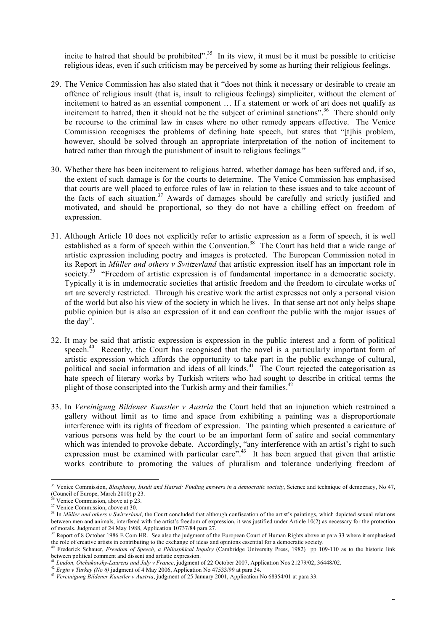incite to hatred that should be prohibited".<sup>35</sup> In its view, it must be it must be possible to criticise religious ideas, even if such criticism may be perceived by some as hurting their religious feelings.

- 29. The Venice Commission has also stated that it "does not think it necessary or desirable to create an offence of religious insult (that is, insult to religious feelings) simpliciter, without the element of incitement to hatred as an essential component … If a statement or work of art does not qualify as incitement to hatred, then it should not be the subject of criminal sanctions".<sup>36</sup> There should only be recourse to the criminal law in cases where no other remedy appears effective. The Venice Commission recognises the problems of defining hate speech, but states that "[t]his problem, however, should be solved through an appropriate interpretation of the notion of incitement to hatred rather than through the punishment of insult to religious feelings."
- 30. Whether there has been incitement to religious hatred, whether damage has been suffered and, if so, the extent of such damage is for the courts to determine. The Venice Commission has emphasised that courts are well placed to enforce rules of law in relation to these issues and to take account of the facts of each situation.<sup>37</sup> Awards of damages should be carefully and strictly justified and motivated, and should be proportional, so they do not have a chilling effect on freedom of expression.
- 31. Although Article 10 does not explicitly refer to artistic expression as a form of speech, it is well established as a form of speech within the Convention.<sup>38</sup> The Court has held that a wide range of artistic expression including poetry and images is protected. The European Commission noted in its Report in *Müller and others v Switzerland* that artistic expression itself has an important role in society.<sup>39</sup> "Freedom of artistic expression is of fundamental importance in a democratic society. Typically it is in undemocratic societies that artistic freedom and the freedom to circulate works of art are severely restricted. Through his creative work the artist expresses not only a personal vision of the world but also his view of the society in which he lives. In that sense art not only helps shape public opinion but is also an expression of it and can confront the public with the major issues of the day".
- 32. It may be said that artistic expression is expression in the public interest and a form of political speech.<sup>40</sup> Recently, the Court has recognised that the novel is a particularly important form of artistic expression which affords the opportunity to take part in the public exchange of cultural, political and social information and ideas of all kinds.<sup>41</sup> The Court rejected the categorisation as hate speech of literary works by Turkish writers who had sought to describe in critical terms the plight of those conscripted into the Turkish army and their families.<sup>42</sup>
- 33. In *Vereinigung Bildener Kunstler v Austria* the Court held that an injunction which restrained a gallery without limit as to time and space from exhibiting a painting was a disproportionate interference with its rights of freedom of expression. The painting which presented a caricature of various persons was held by the court to be an important form of satire and social commentary which was intended to provoke debate. Accordingly, "any interference with an artist's right to such expression must be examined with particular care".<sup>43</sup> It has been argued that given that artistic works contribute to promoting the values of pluralism and tolerance underlying freedom of

<sup>&</sup>lt;sup>35</sup> Venice Commission, *Blasphemy, Insult and Hatred: Finding answers in a democratic society*, Science and technique of democracy, No 47, (Council of Europe, March 2010) p 23.<br><sup>36</sup> Venice Commission, above at p 23.

 $37$  Venice Commission, above at 30.

<sup>&</sup>lt;sup>38</sup> In *Müller and others v Switzerland*, the Court concluded that although confiscation of the artist's paintings, which depicted sexual relations between men and animals, interfered with the artist's freedom of expression, it was justified under Article 10(2) as necessary for the protection of morals. Judgment of 24 May 1988, Application 10737/84 para 27.

Report of 8 October 1986 E Com HR. See also the judgment of the European Court of Human Rights above at para 33 where it emphasised the role of creative artists in contributing to the exchange of ideas and opinions essential for a democratic society.<br><sup>40</sup> Frederick Schauer, *Freedom of Speech, a Philosphical Inquiry* (Cambridge University Press, 1982)

between political comment and dissent and artistic expression.<br><sup>41</sup> Lindon, Otchakovsky-Laurens and July v France, judgment of 22 October 2007, Application Nos 21279/02, 36448/02.

Ergin v Turkey (No 6) judgment of 4 May 2006, Application No 47533/99 at para 34.<br><sup>43</sup> Vereinigung Bildener Kunstler v Austria, judgment of 25 January 2001, Application No 68354/01 at para 33.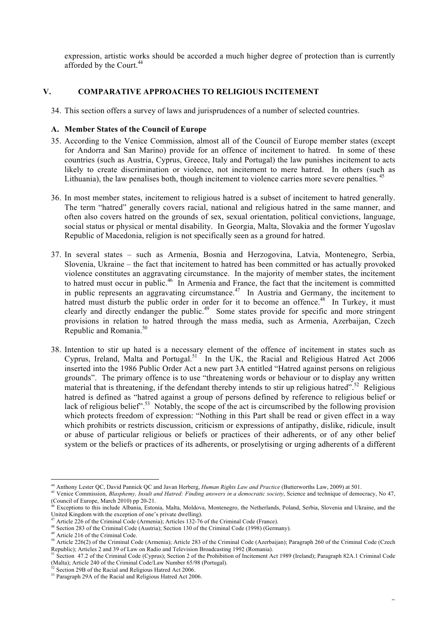expression, artistic works should be accorded a much higher degree of protection than is currently afforded by the Court.<sup>44</sup>

# **V. COMPARATIVE APPROACHES TO RELIGIOUS INCITEMENT**

34. This section offers a survey of laws and jurisprudences of a number of selected countries.

# **A. Member States of the Council of Europe**

- 35. According to the Venice Commission, almost all of the Council of Europe member states (except for Andorra and San Marino) provide for an offence of incitement to hatred. In some of these countries (such as Austria, Cyprus, Greece, Italy and Portugal) the law punishes incitement to acts likely to create discrimination or violence, not incitement to mere hatred. In others (such as Lithuania), the law penalises both, though incitement to violence carries more severe penalties. <sup>45</sup>
- 36. In most member states, incitement to religious hatred is a subset of incitement to hatred generally. The term "hatred" generally covers racial, national and religious hatred in the same manner, and often also covers hatred on the grounds of sex, sexual orientation, political convictions, language, social status or physical or mental disability. In Georgia, Malta, Slovakia and the former Yugoslav Republic of Macedonia, religion is not specifically seen as a ground for hatred.
- 37. In several states such as Armenia, Bosnia and Herzogovina, Latvia, Montenegro, Serbia, Slovenia, Ukraine – the fact that incitement to hatred has been committed or has actually provoked violence constitutes an aggravating circumstance. In the majority of member states, the incitement to hatred must occur in public.46 In Armenia and France, the fact that the incitement is committed in public represents an aggravating circumstance.<sup>47</sup> In Austria and Germany, the incitement to hatred must disturb the public order in order for it to become an offence.<sup>48</sup> In Turkey, it must clearly and directly endanger the public.<sup>49</sup> Some states provide for specific and more stringent provisions in relation to hatred through the mass media, such as Armenia, Azerbaijan, Czech Republic and Romania.<sup>50</sup>
- 38. Intention to stir up hated is a necessary element of the offence of incitement in states such as Cyprus, Ireland, Malta and Portugal.<sup>51</sup> In the UK, the Racial and Religious Hatred Act 2006 inserted into the 1986 Public Order Act a new part 3A entitled "Hatred against persons on religious grounds". The primary offence is to use "threatening words or behaviour or to display any written material that is threatening, if the defendant thereby intends to stir up religious hatred".<sup>52</sup> Religious hatred is defined as "hatred against a group of persons defined by reference to religious belief or lack of religious belief".<sup>53</sup> Notably, the scope of the act is circumscribed by the following provision which protects freedom of expression: "Nothing in this Part shall be read or given effect in a way which prohibits or restricts discussion, criticism or expressions of antipathy, dislike, ridicule, insult or abuse of particular religious or beliefs or practices of their adherents, or of any other belief system or the beliefs or practices of its adherents, or proselytising or urging adherents of a different

 <sup>44</sup> Anthony Lester QC, David Pannick QC and Javan Herberg, *Human Rights Law and Practice* (Butterworths Law, 2009) at 501.

<sup>&</sup>lt;sup>45</sup> Venice Commission, *Blasphemy, Insult and Hatred: Finding answers in a democratic society*, Science and technique of democracy, No 47, (Council of Europe, March 2010) pp 20-21.

Exceptions to this include Albania, Estonia, Malta, Moldova, Montenegro, the Netherlands, Poland, Serbia, Slovenia and Ukraine, and the United Kingdom with the exception of one's private dwelling).

<sup>&</sup>lt;sup>47</sup> Article 226 of the Criminal Code (Armenia); Articles 132-76 of the Criminal Code (France).

<sup>&</sup>lt;sup>48</sup> Section 283 of the Criminal Code (Austria); Section 130 of the Criminal Code (1998) (Germany).

<sup>49</sup> Article 216 of the Criminal Code.

<sup>&</sup>lt;sup>50</sup> Article 226(2) of the Criminal Code (Armenia); Article 283 of the Criminal Code (Azerbaijan); Paragraph 260 of the Criminal Code (Czech Republic); Articles 2 and 39 of Law on Radio and Television Broadcasting 1992 (Romania).

Section 47.2 of the Criminal Code (Cyprus); Section 2 of the Prohibition of Incitement Act 1989 (Ireland); Paragraph 82A.1 Criminal Code (Malta); Article 240 of the Criminal Code/Law Number 65/98 (Portugal).

 $52$  Section 29B of the Racial and Religious Hatred Act 2006.

<sup>&</sup>lt;sup>53</sup> Paragraph 29A of the Racial and Religious Hatred Act 2006.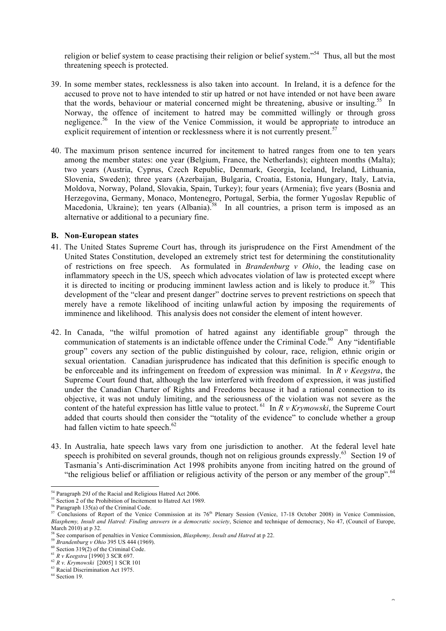religion or belief system to cease practising their religion or belief system."<sup>54</sup> Thus, all but the most threatening speech is protected.

- 39. In some member states, recklessness is also taken into account. In Ireland, it is a defence for the accused to prove not to have intended to stir up hatred or not have intended or not have been aware that the words, behaviour or material concerned might be threatening, abusive or insulting.<sup>55</sup> In Norway, the offence of incitement to hatred may be committed willingly or through gross negligence.<sup>56</sup> In the view of the Venice Commission, it would be appropriate to introduce an explicit requirement of intention or recklessness where it is not currently present.<sup>57</sup>
- 40. The maximum prison sentence incurred for incitement to hatred ranges from one to ten years among the member states: one year (Belgium, France, the Netherlands); eighteen months (Malta); two years (Austria, Cyprus, Czech Republic, Denmark, Georgia, Iceland, Ireland, Lithuania, Slovenia, Sweden); three years (Azerbaijan, Bulgaria, Croatia, Estonia, Hungary, Italy, Latvia, Moldova, Norway, Poland, Slovakia, Spain, Turkey); four years (Armenia); five years (Bosnia and Herzegovina, Germany, Monaco, Montenegro, Portugal, Serbia, the former Yugoslav Republic of Macedonia, Ukraine); ten years (Albania).<sup>58</sup> In all countries, a prison term is imposed as an alternative or additional to a pecuniary fine.

#### **B. Non-European states**

- 41. The United States Supreme Court has, through its jurisprudence on the First Amendment of the United States Constitution, developed an extremely strict test for determining the constitutionality of restrictions on free speech. As formulated in *Brandenburg v Ohio*, the leading case on inflammatory speech in the US, speech which advocates violation of law is protected except where it is directed to inciting or producing imminent lawless action and is likely to produce it.<sup>59</sup> This development of the "clear and present danger" doctrine serves to prevent restrictions on speech that merely have a remote likelihood of inciting unlawful action by imposing the requirements of imminence and likelihood. This analysis does not consider the element of intent however.
- 42. In Canada, "the wilful promotion of hatred against any identifiable group" through the communication of statements is an indictable offence under the Criminal Code.<sup>60</sup> Any "identifiable" group" covers any section of the public distinguished by colour, race, religion, ethnic origin or sexual orientation. Canadian jurisprudence has indicated that this definition is specific enough to be enforceable and its infringement on freedom of expression was minimal. In *R v Keegstra*, the Supreme Court found that, although the law interfered with freedom of expression, it was justified under the Canadian Charter of Rights and Freedoms because it had a rational connection to its objective, it was not unduly limiting, and the seriousness of the violation was not severe as the content of the hateful expression has little value to protect. 61 In *R v Krymowski*, the Supreme Court added that courts should then consider the "totality of the evidence" to conclude whether a group had fallen victim to hate speech. $62$
- 43. In Australia, hate speech laws vary from one jurisdiction to another. At the federal level hate speech is prohibited on several grounds, though not on religious grounds expressly.<sup>63</sup> Section 19 of Tasmania's Anti-discrimination Act 1998 prohibits anyone from inciting hatred on the ground of "the religious belief or affiliation or religious activity of the person or any member of the group".<sup>64</sup>

<sup>&</sup>lt;sup>54</sup> Paragraph 29J of the Racial and Religious Hatred Act 2006.

<sup>&</sup>lt;sup>55</sup> Section 2 of the Prohibition of Incitement to Hatred Act 1989.

<sup>56</sup> Paragraph 135(a) of the Criminal Code.

 $57$  Conclusions of Report of the Venice Commission at its 76<sup>th</sup> Plenary Session (Venice, 17-18 October 2008) in Venice Commission, *Blasphemy, Insult and Hatred: Finding answers in a democratic society*, Science and technique of democracy, No 47, (Council of Europe, March 2010) at p 32.

<sup>58</sup> See comparison of penalties in Venice Commission, *Blasphemy, Insult and Hatred* at p 22. 59 *Brandenburg v Ohio* 395 US 444 (1969).

<sup>&</sup>lt;sup>60</sup> Section 319(2) of the Criminal Code.<br><sup>61</sup> R v Keegstra [1990] 3 SCR 697.

<sup>61</sup> *R v Keegstra* [1990] 3 SCR 697. 62 *<sup>R</sup> v. Krymowski* [2005] 1 SCR 101

<sup>&</sup>lt;sup>63</sup> Racial Discrimination Act 1975.

<sup>64</sup> Section 19.